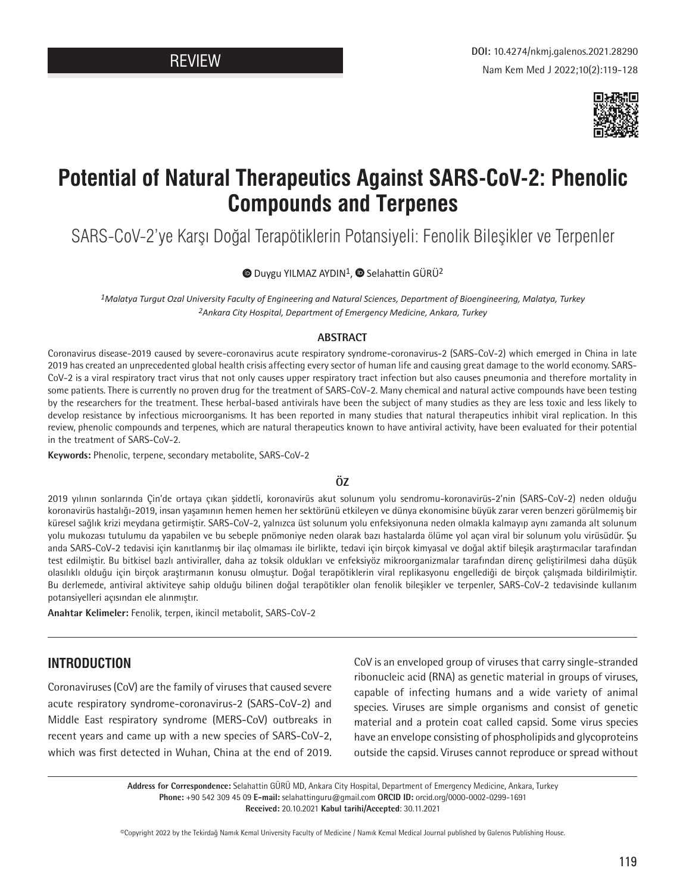

# **Potential of Natural Therapeutics Against SARS-CoV-2: Phenolic Compounds and Terpenes**

SARS-CoV-2'ye Karşı Doğal Terapötiklerin Potansiyeli: Fenolik Bileşikler ve Terpenler

 $\bullet$ Duygu YILMAZ AYDIN<sup>1</sup>,  $\bullet$  Selahattin GÜRÜ<sup>2</sup>

*1Malatya Turgut Ozal University Faculty of Engineering and Natural Sciences, Department of Bioengineering, Malatya, Turkey 2Ankara City Hospital, Department of Emergency Medicine, Ankara, Turkey*

#### **ABSTRACT**

Coronavirus disease-2019 caused by severe-coronavirus acute respiratory syndrome-coronavirus-2 (SARS-CoV-2) which emerged in China in late 2019 has created an unprecedented global health crisis affecting every sector of human life and causing great damage to the world economy. SARS-CoV-2 is a viral respiratory tract virus that not only causes upper respiratory tract infection but also causes pneumonia and therefore mortality in some patients. There is currently no proven drug for the treatment of SARS-CoV-2. Many chemical and natural active compounds have been testing by the researchers for the treatment. These herbal-based antivirals have been the subject of many studies as they are less toxic and less likely to develop resistance by infectious microorganisms. It has been reported in many studies that natural therapeutics inhibit viral replication. In this review, phenolic compounds and terpenes, which are natural therapeutics known to have antiviral activity, have been evaluated for their potential in the treatment of SARS-CoV-2.

**Keywords:** Phenolic, terpene, secondary metabolite, SARS-CoV-2

#### **ÖZ**

2019 yılının sonlarında Çin'de ortaya çıkan şiddetli, koronavirüs akut solunum yolu sendromu-koronavirüs-2'nin (SARS-CoV-2) neden olduğu koronavirüs hastalığı-2019, insan yaşamının hemen hemen her sektörünü etkileyen ve dünya ekonomisine büyük zarar veren benzeri görülmemiş bir küresel sağlık krizi meydana getirmiştir. SARS-CoV-2, yalnızca üst solunum yolu enfeksiyonuna neden olmakla kalmayıp aynı zamanda alt solunum yolu mukozası tutulumu da yapabilen ve bu sebeple pnömoniye neden olarak bazı hastalarda ölüme yol açan viral bir solunum yolu virüsüdür. Şu anda SARS-CoV-2 tedavisi için kanıtlanmış bir ilaç olmaması ile birlikte, tedavi için birçok kimyasal ve doğal aktif bileşik araştırmacılar tarafından test edilmiştir. Bu bitkisel bazlı antiviraller, daha az toksik oldukları ve enfeksiyöz mikroorganizmalar tarafından direnç geliştirilmesi daha düşük olasılıklı olduğu için birçok araştırmanın konusu olmuştur. Doğal terapötiklerin viral replikasyonu engellediği de birçok çalışmada bildirilmiştir. Bu derlemede, antiviral aktiviteye sahip olduğu bilinen doğal terapötikler olan fenolik bileşikler ve terpenler, SARS-CoV-2 tedavisinde kullanım potansiyelleri açısından ele alınmıştır.

**Anahtar Kelimeler:** Fenolik, terpen, ikincil metabolit, SARS-CoV-2

## **INTRODUCTION**

Coronaviruses (CoV) are the family of viruses that caused severe acute respiratory syndrome-coronavirus-2 (SARS-CoV-2) and Middle East respiratory syndrome (MERS-CoV) outbreaks in recent years and came up with a new species of SARS-CoV-2, which was first detected in Wuhan, China at the end of 2019.

CoV is an enveloped group of viruses that carry single-stranded ribonucleic acid (RNA) as genetic material in groups of viruses, capable of infecting humans and a wide variety of animal species. Viruses are simple organisms and consist of genetic material and a protein coat called capsid. Some virus species have an envelope consisting of phospholipids and glycoproteins outside the capsid. Viruses cannot reproduce or spread without

**Address for Correspondence:** Selahattin GÜRÜ MD, Ankara City Hospital, Department of Emergency Medicine, Ankara, Turkey **Phone:** +90 542 309 45 09 **E-mail:** selahattinguru@gmail.com **ORCID ID:** orcid.org/0000-0002-0299-1691 **Received:** 20.10.2021 **Kabul tarihi/Accepted**: 30.11.2021

©Copyright 2022 by the Tekirdağ Namık Kemal University Faculty of Medicine / Namık Kemal Medical Journal published by Galenos Publishing House.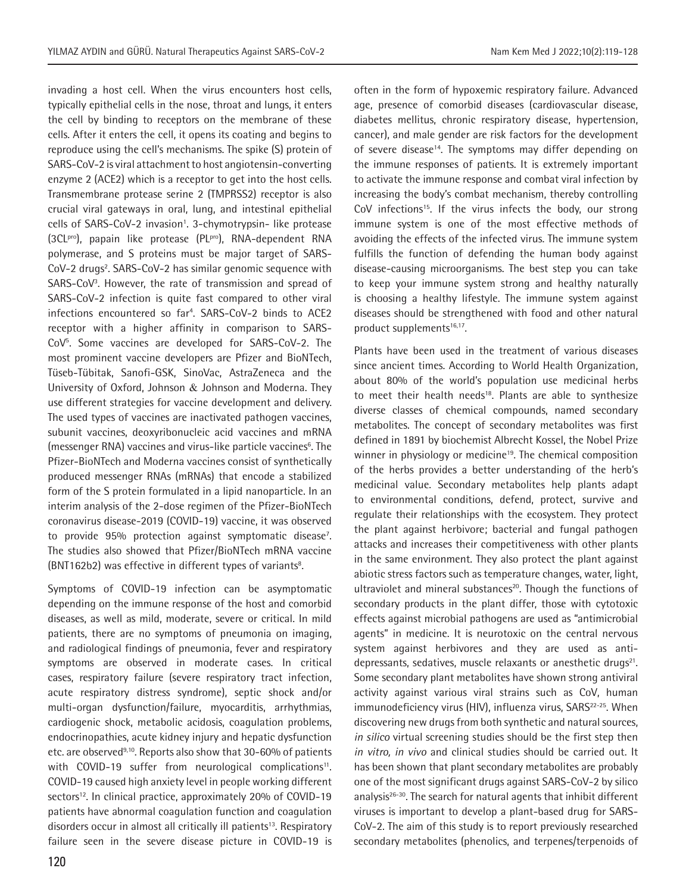invading a host cell. When the virus encounters host cells, typically epithelial cells in the nose, throat and lungs, it enters the cell by binding to receptors on the membrane of these cells. After it enters the cell, it opens its coating and begins to reproduce using the cell's mechanisms. The spike (S) protein of SARS-CoV-2 is viral attachment to host angiotensin-converting enzyme 2 (ACE2) which is a receptor to get into the host cells. Transmembrane protease serine 2 (TMPRSS2) receptor is also crucial viral gateways in oral, lung, and intestinal epithelial cells of SARS-CoV-2 invasion<sup>1</sup>. 3-chymotrypsin- like protease (3CLpro), papain like protease (PLpro), RNA-dependent RNA polymerase, and S proteins must be major target of SARS-CoV-2 drugs<sup>2</sup>. SARS-CoV-2 has similar genomic sequence with SARS-CoV<sup>3</sup>. However, the rate of transmission and spread of SARS-CoV-2 infection is quite fast compared to other viral infections encountered so far4 . SARS-CoV-2 binds to ACE2 receptor with a higher affinity in comparison to SARS-CoV5 . Some vaccines are developed for SARS-CoV-2. The most prominent vaccine developers are Pfizer and BioNTech, Tüseb-Tübitak, Sanofi-GSK, SinoVac, AstraZeneca and the University of Oxford, Johnson & Johnson and Moderna. They use different strategies for vaccine development and delivery. The used types of vaccines are inactivated pathogen vaccines, subunit vaccines, deoxyribonucleic acid vaccines and mRNA (messenger RNA) vaccines and virus-like particle vaccines<sup>6</sup>. The Pfizer-BioNTech and Moderna vaccines consist of synthetically produced messenger RNAs (mRNAs) that encode a stabilized form of the S protein formulated in a lipid nanoparticle. In an interim analysis of the 2-dose regimen of the Pfizer-BioNTech coronavirus disease-2019 (COVID-19) vaccine, it was observed to provide 95% protection against symptomatic disease<sup>7</sup>. The studies also showed that Pfizer/BioNTech mRNA vaccine (BNT162b2) was effective in different types of variants<sup>8</sup>.

Symptoms of COVID-19 infection can be asymptomatic depending on the immune response of the host and comorbid diseases, as well as mild, moderate, severe or critical. In mild patients, there are no symptoms of pneumonia on imaging, and radiological findings of pneumonia, fever and respiratory symptoms are observed in moderate cases. In critical cases, respiratory failure (severe respiratory tract infection, acute respiratory distress syndrome), septic shock and/or multi-organ dysfunction/failure, myocarditis, arrhythmias, cardiogenic shock, metabolic acidosis, coagulation problems, endocrinopathies, acute kidney injury and hepatic dysfunction etc. are observed<sup>9,10</sup>. Reports also show that 30-60% of patients with COVID-19 suffer from neurological complications<sup>11</sup>. COVID-19 caused high anxiety level in people working different sectors<sup>12</sup>. In clinical practice, approximately 20% of COVID-19 patients have abnormal coagulation function and coagulation disorders occur in almost all critically ill patients<sup>13</sup>. Respiratory failure seen in the severe disease picture in COVID-19 is often in the form of hypoxemic respiratory failure. Advanced age, presence of comorbid diseases (cardiovascular disease, diabetes mellitus, chronic respiratory disease, hypertension, cancer), and male gender are risk factors for the development of severe disease<sup>14</sup>. The symptoms may differ depending on the immune responses of patients. It is extremely important to activate the immune response and combat viral infection by increasing the body's combat mechanism, thereby controlling CoV infections<sup>15</sup>. If the virus infects the body, our strong immune system is one of the most effective methods of avoiding the effects of the infected virus. The immune system fulfills the function of defending the human body against disease-causing microorganisms. The best step you can take to keep your immune system strong and healthy naturally is choosing a healthy lifestyle. The immune system against diseases should be strengthened with food and other natural product supplements<sup>16,17</sup>.

Plants have been used in the treatment of various diseases since ancient times. According to World Health Organization, about 80% of the world's population use medicinal herbs to meet their health needs<sup>18</sup>. Plants are able to synthesize diverse classes of chemical compounds, named secondary metabolites. The concept of secondary metabolites was first defined in 1891 by biochemist Albrecht Kossel, the Nobel Prize winner in physiology or medicine<sup>19</sup>. The chemical composition of the herbs provides a better understanding of the herb's medicinal value. Secondary metabolites help plants adapt to environmental conditions, defend, protect, survive and regulate their relationships with the ecosystem. They protect the plant against herbivore; bacterial and fungal pathogen attacks and increases their competitiveness with other plants in the same environment. They also protect the plant against abiotic stress factors such as temperature changes, water, light, ultraviolet and mineral substances<sup>20</sup>. Though the functions of secondary products in the plant differ, those with cytotoxic effects against microbial pathogens are used as "antimicrobial agents" in medicine. It is neurotoxic on the central nervous system against herbivores and they are used as antidepressants, sedatives, muscle relaxants or anesthetic drugs<sup>21</sup>. Some secondary plant metabolites have shown strong antiviral activity against various viral strains such as CoV, human immunodeficiency virus (HIV), influenza virus, SARS<sup>22-25</sup>. When discovering new drugs from both synthetic and natural sources, *in silico* virtual screening studies should be the first step then *in vitro, in vivo* and clinical studies should be carried out. It has been shown that plant secondary metabolites are probably one of the most significant drugs against SARS-CoV-2 by silico analysis<sup>26-30</sup>. The search for natural agents that inhibit different viruses is important to develop a plant-based drug for SARS-CoV-2. The aim of this study is to report previously researched secondary metabolites (phenolics, and terpenes/terpenoids of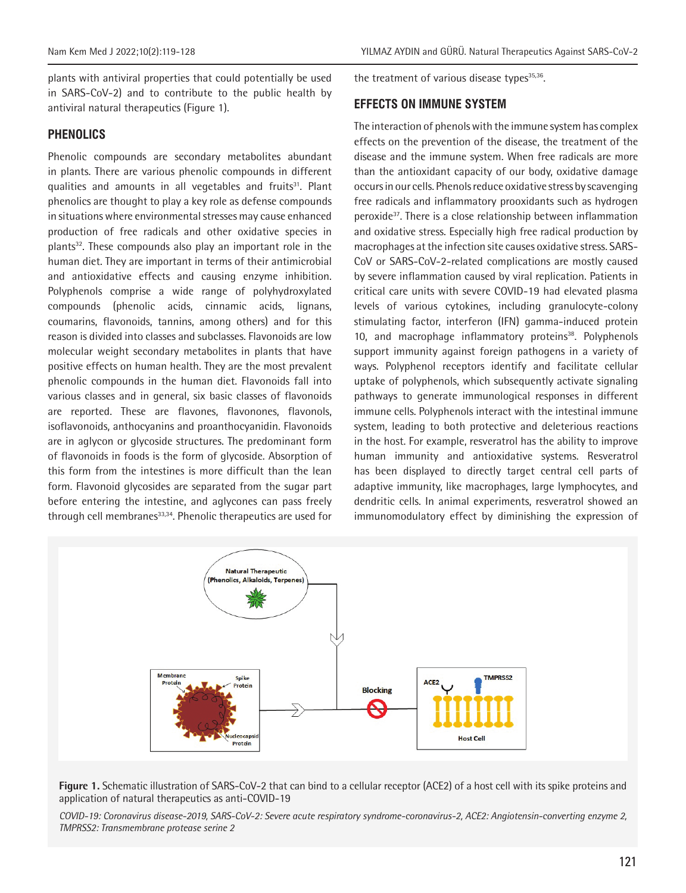plants with antiviral properties that could potentially be used in SARS-CoV-2) and to contribute to the public health by antiviral natural therapeutics (Figure 1).

## **PHENOLICS**

Phenolic compounds are secondary metabolites abundant in plants. There are various phenolic compounds in different qualities and amounts in all vegetables and fruits<sup>31</sup>. Plant phenolics are thought to play a key role as defense compounds in situations where environmental stresses may cause enhanced production of free radicals and other oxidative species in plants<sup>32</sup>. These compounds also play an important role in the human diet. They are important in terms of their antimicrobial and antioxidative effects and causing enzyme inhibition. Polyphenols comprise a wide range of polyhydroxylated compounds (phenolic acids, cinnamic acids, lignans, coumarins, flavonoids, tannins, among others) and for this reason is divided into classes and subclasses. Flavonoids are low molecular weight secondary metabolites in plants that have positive effects on human health. They are the most prevalent phenolic compounds in the human diet. Flavonoids fall into various classes and in general, six basic classes of flavonoids are reported. These are flavones, flavonones, flavonols, isoflavonoids, anthocyanins and proanthocyanidin. Flavonoids are in aglycon or glycoside structures. The predominant form of flavonoids in foods is the form of glycoside. Absorption of this form from the intestines is more difficult than the lean form. Flavonoid glycosides are separated from the sugar part before entering the intestine, and aglycones can pass freely through cell membranes<sup>33,34</sup>. Phenolic therapeutics are used for the treatment of various disease types $35,36$ .

## **EFFECTS ON IMMUNE SYSTEM**

The interaction of phenols with the immune system has complex effects on the prevention of the disease, the treatment of the disease and the immune system. When free radicals are more than the antioxidant capacity of our body, oxidative damage occurs in our cells. Phenols reduce oxidative stress by scavenging free radicals and inflammatory prooxidants such as hydrogen peroxide37. There is a close relationship between inflammation and oxidative stress. Especially high free radical production by macrophages at the infection site causes oxidative stress. SARS-CoV or SARS-CoV-2-related complications are mostly caused by severe inflammation caused by viral replication. Patients in critical care units with severe COVID-19 had elevated plasma levels of various cytokines, including granulocyte-colony stimulating factor, interferon (IFN) gamma-induced protein 10, and macrophage inflammatory proteins<sup>38</sup>. Polyphenols support immunity against foreign pathogens in a variety of ways. Polyphenol receptors identify and facilitate cellular uptake of polyphenols, which subsequently activate signaling pathways to generate immunological responses in different immune cells. Polyphenols interact with the intestinal immune system, leading to both protective and deleterious reactions in the host. For example, resveratrol has the ability to improve human immunity and antioxidative systems. Resveratrol has been displayed to directly target central cell parts of adaptive immunity, like macrophages, large lymphocytes, and dendritic cells. In animal experiments, resveratrol showed an immunomodulatory effect by diminishing the expression of



**Figure 1.** Schematic illustration of SARS-CoV-2 that can bind to a cellular receptor (ACE2) of a host cell with its spike proteins and application of natural therapeutics as anti-COVID-19

*COVID-19: Coronavirus disease-2019, SARS-CoV-2: Severe acute respiratory syndrome-coronavirus-2, ACE2: Angiotensin-converting enzyme 2, TMPRSS2: Transmembrane protease serine 2*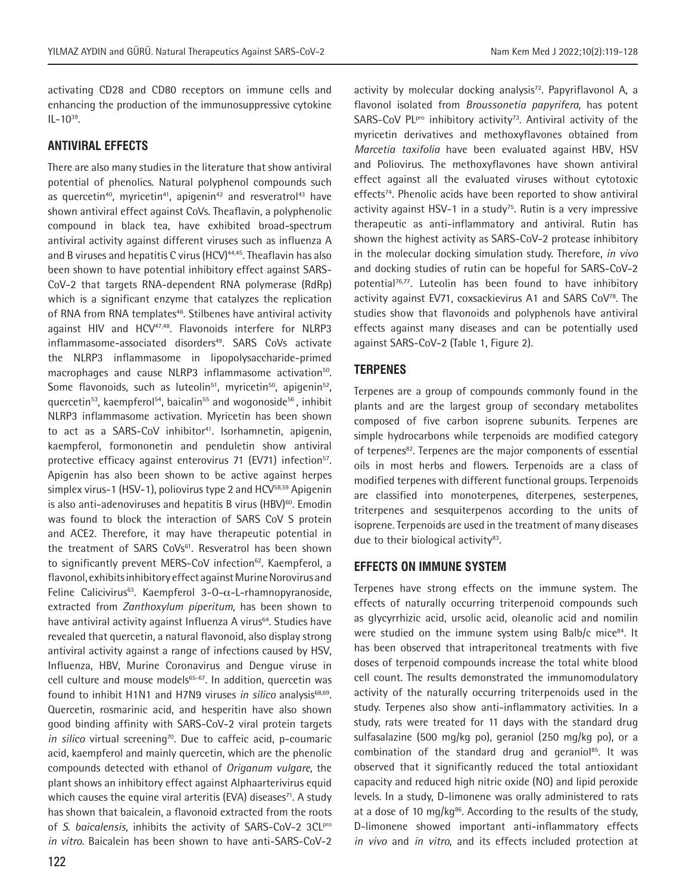activating CD28 and CD80 receptors on immune cells and enhancing the production of the immunosuppressive cytokine  $IL - 10^{39}$ .

#### **ANTIVIRAL EFFECTS**

There are also many studies in the literature that show antiviral potential of phenolics. Natural polyphenol compounds such as quercetin<sup>40</sup>, myricetin<sup>41</sup>, apigenin<sup>42</sup> and resveratrol<sup>43</sup> have shown antiviral effect against CoVs. Theaflavin, a polyphenolic compound in black tea, have exhibited broad‐spectrum antiviral activity against different viruses such as influenza A and B viruses and hepatitis C virus (HCV)<sup>44,45</sup>. Theaflavin has also been shown to have potential inhibitory effect against SARS‐ CoV-2 that targets RNA-dependent RNA polymerase (RdRp) which is a significant enzyme that catalyzes the replication of RNA from RNA templates<sup>46</sup>. Stilbenes have antiviral activity against HIV and HCV<sup>47,48</sup>. Flavonoids interfere for NLRP3 inflammasome-associated disorders<sup>49</sup>. SARS CoVs activate the NLRP3 inflammasome in lipopolysaccharide-primed macrophages and cause NLRP3 inflammasome activation<sup>50</sup>. Some flavonoids, such as luteolin<sup>51</sup>, myricetin<sup>50</sup>, apigenin<sup>52</sup>, quercetin<sup>53</sup>, kaempferol<sup>54</sup>, baicalin<sup>55</sup> and wogonoside<sup>56</sup>, inhibit NLRP3 inflammasome activation. Myricetin has been shown to act as a SARS-CoV inhibitor<sup>41</sup>. Isorhamnetin, apigenin, kaempferol, formononetin and penduletin show antiviral protective efficacy against enterovirus 71 (EV71) infection<sup>57</sup>. Apigenin has also been shown to be active against herpes simplex virus-1 (HSV-1), poliovirus type 2 and HCV<sup>58,59</sup> Apigenin is also anti-adenoviruses and hepatitis B virus  $(HBV)^{60}$ . Emodin was found to block the interaction of SARS CoV S protein and ACE2. Therefore, it may have therapeutic potential in the treatment of SARS CoVs<sup>61</sup>. Resveratrol has been shown to significantly prevent MERS-CoV infection<sup>62</sup>. Kaempferol, a flavonol, exhibits inhibitory effect against Murine Norovirus and Feline Calicivirus<sup>63</sup>. Kaempferol 3-0- $\alpha$ -L-rhamnopyranoside, extracted from *Zanthoxylum piperitum,* has been shown to have antiviral activity against Influenza A virus<sup>64</sup>. Studies have revealed that quercetin, a natural flavonoid, also display strong antiviral activity against a range of infections caused by HSV, Influenza, HBV, Murine Coronavirus and Dengue viruse in cell culture and mouse models<sup>65-67</sup>. In addition, quercetin was found to inhibit H1N1 and H7N9 viruses *in silico* analysis<sup>68,69</sup>. Quercetin, rosmarinic acid, and hesperitin have also shown good binding affinity with SARS-CoV-2 viral protein targets in silico virtual screening<sup>70</sup>. Due to caffeic acid, p-coumaric acid, kaempferol and mainly quercetin, which are the phenolic compounds detected with ethanol of *Origanum vulgare*, the plant shows an inhibitory effect against Alphaarterivirus equid which causes the equine viral arteritis (EVA) diseases<sup>71</sup>. A study has shown that baicalein, a flavonoid extracted from the roots of *S. baicalensis,* inhibits the activity of SARS-CoV-2 3CLpro *in vitro*. Baicalein has been shown to have anti-SARS-CoV-2

activity by molecular docking analysis<sup>72</sup>. Papyriflavonol A, a flavonol isolated from *Broussonetia papyrifera,* has potent SARS-CoV PLPro inhibitory activity<sup>73</sup>. Antiviral activity of the myricetin derivatives and methoxyflavones obtained from *Marcetia taxifolia* have been evaluated against HBV, HSV and Poliovirus. The methoxyflavones have shown antiviral effect against all the evaluated viruses without cytotoxic effects<sup>74</sup>. Phenolic acids have been reported to show antiviral activity against HSV-1 in a study<sup>75</sup>. Rutin is a very impressive therapeutic as anti-inflammatory and antiviral. Rutin has shown the highest activity as SARS-CoV-2 protease inhibitory in the molecular docking simulation study. Therefore, *in vivo* and docking studies of rutin can be hopeful for SARS-CoV-2 potential<sup>76,77</sup>. Luteolin has been found to have inhibitory activity against EV71, coxsackievirus A1 and SARS CoV<sup>78</sup>. The studies show that flavonoids and polyphenols have antiviral effects against many diseases and can be potentially used against SARS-CoV-2 (Table 1, Figure 2).

## **TERPENES**

Terpenes are a group of compounds commonly found in the plants and are the largest group of secondary metabolites composed of five carbon isoprene subunits. Terpenes are simple hydrocarbons while terpenoids are modified category of terpenes<sup>82</sup>. Terpenes are the major components of essential oils in most herbs and flowers. Terpenoids are a class of modified terpenes with different functional groups. Terpenoids are classified into monoterpenes, diterpenes, sesterpenes, triterpenes and sesquiterpenos according to the units of isoprene. Terpenoids are used in the treatment of many diseases due to their biological activity $83$ .

#### **EFFECTS ON IMMUNE SYSTEM**

Terpenes have strong effects on the immune system. The effects of naturally occurring triterpenoid compounds such as glycyrrhizic acid, ursolic acid, oleanolic acid and nomilin were studied on the immune system using Balb/c mice<sup>84</sup>. It has been observed that intraperitoneal treatments with five doses of terpenoid compounds increase the total white blood cell count. The results demonstrated the immunomodulatory activity of the naturally occurring triterpenoids used in the study. Terpenes also show anti-inflammatory activities. In a study, rats were treated for 11 days with the standard drug sulfasalazine (500 mg/kg po), geraniol (250 mg/kg po), or a combination of the standard drug and geraniol<sup>85</sup>. It was observed that it significantly reduced the total antioxidant capacity and reduced high nitric oxide (NO) and lipid peroxide levels. In a study, D-limonene was orally administered to rats at a dose of 10 mg/kg $86$ . According to the results of the study, D-limonene showed important anti-inflammatory effects *in vivo* and *in vitro*, and its effects included protection at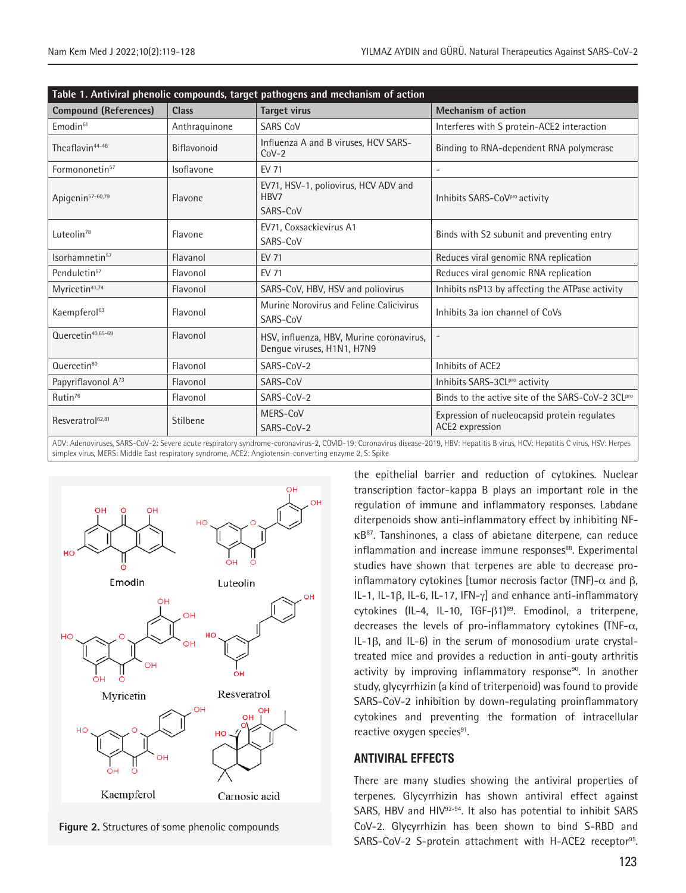| Table 1. Antiviral phenolic compounds, target pathogens and mechanism of action                                                                                                                                          |               |                                                                        |                                                                 |  |  |
|--------------------------------------------------------------------------------------------------------------------------------------------------------------------------------------------------------------------------|---------------|------------------------------------------------------------------------|-----------------------------------------------------------------|--|--|
| <b>Compound (References)</b>                                                                                                                                                                                             | <b>Class</b>  | <b>Target virus</b>                                                    | <b>Mechanism of action</b>                                      |  |  |
| Emodin <sup>61</sup>                                                                                                                                                                                                     | Anthraquinone | <b>SARS CoV</b>                                                        | Interferes with S protein-ACE2 interaction                      |  |  |
| Theaflavin44-46                                                                                                                                                                                                          | Biflavonoid   | Influenza A and B viruses, HCV SARS-<br>$C_0V-2$                       | Binding to RNA-dependent RNA polymerase                         |  |  |
| Formononetin <sup>57</sup>                                                                                                                                                                                               | Isoflavone    | <b>EV 71</b>                                                           | -                                                               |  |  |
| Apigenin <sup>57-60,79</sup>                                                                                                                                                                                             | Flavone       | EV71, HSV-1, poliovirus, HCV ADV and<br>HBV7<br>SARS-CoV               | Inhibits SARS-CoV <sup>pro</sup> activity                       |  |  |
| Luteolin <sup>78</sup>                                                                                                                                                                                                   | Flavone       | EV71, Coxsackievirus A1<br>SARS-CoV                                    | Binds with S2 subunit and preventing entry                      |  |  |
| Isorhamnetin <sup>57</sup>                                                                                                                                                                                               | Flavanol      | <b>EV 71</b>                                                           | Reduces viral genomic RNA replication                           |  |  |
| Penduletin <sup>57</sup>                                                                                                                                                                                                 | Flavonol      | <b>EV 71</b>                                                           | Reduces viral genomic RNA replication                           |  |  |
| Myricetin <sup>41,74</sup>                                                                                                                                                                                               | Flavonol      | SARS-CoV, HBV, HSV and poliovirus                                      | Inhibits nsP13 by affecting the ATPase activity                 |  |  |
| Kaempferol <sup>63</sup>                                                                                                                                                                                                 | Flavonol      | Murine Norovirus and Feline Calicivirus<br>SARS-CoV                    | Inhibits 3a jon channel of CoVs                                 |  |  |
| Quercetin <sup>40,65-69</sup>                                                                                                                                                                                            | Flavonol      | HSV, influenza, HBV, Murine coronavirus,<br>Dengue viruses, H1N1, H7N9 |                                                                 |  |  |
| Quercetin <sup>80</sup>                                                                                                                                                                                                  | Flavonol      | SARS-CoV-2                                                             | Inhibits of ACE2                                                |  |  |
| Papyriflavonol A <sup>73</sup>                                                                                                                                                                                           | Flavonol      | SARS-CoV                                                               | Inhibits SARS-3CLPro activity                                   |  |  |
| Rutin <sup>76</sup>                                                                                                                                                                                                      | Flavonol      | SARS-CoV-2                                                             | Binds to the active site of the SARS-CoV-2 3CLPro               |  |  |
| Resveratrol <sup>62,81</sup>                                                                                                                                                                                             | Stilbene      | MERS-CoV<br>SARS-CoV-2                                                 | Expression of nucleocapsid protein regulates<br>ACE2 expression |  |  |
| ADV: Adenoviruses SARS_CoV_2: Severe acute respiratory syndrome-coronavirus-2 COVID_10: Coronavirus disease-2010 HRV: Henatitis R virus HCV: Henatitis C virus HSV: Henatitis C virus HSV: Henatitis C virus HSV: Hernes |               |                                                                        |                                                                 |  |  |

ADV: Adenoviruses, SARS-CoV-2: Severe acute respiratory syndrome-coronavirus-2, COVID-19: Coronavirus disease-2019, HBV: Hepatitis B virus, HCV: Hepatitis C virus, HSV: Herpes simplex virus, MERS: Middle East respiratory syndrome, ACE2: Angiotensin-converting enzyme 2, S: Spike



**Figure 2.** Structures of some phenolic compounds

the epithelial barrier and reduction of cytokines. Nuclear transcription factor-kappa B plays an important role in the regulation of immune and inflammatory responses. Labdane diterpenoids show anti-inflammatory effect by inhibiting NFκB87. Tanshinones, a class of abietane diterpene, can reduce inflammation and increase immune responses<sup>88</sup>. Experimental studies have shown that terpenes are able to decrease proinflammatory cytokines [tumor necrosis factor (TNF)- $\alpha$  and  $\beta$ , IL-1, IL-1β, IL-6, IL-17, IFN-γ] and enhance anti-inflammatory cytokines (IL-4, IL-10, TGF-β1)<sup>89</sup>. Emodinol, a triterpene, decreases the levels of pro-inflammatory cytokines (TNF- $\alpha$ , IL-1β, and IL-6) in the serum of monosodium urate crystaltreated mice and provides a reduction in anti-gouty arthritis activity by improving inflammatory response<sup>90</sup>. In another study, glycyrrhizin (a kind of triterpenoid) was found to provide SARS-CoV-2 inhibition by down-regulating proinflammatory cytokines and preventing the formation of intracellular reactive oxygen species<sup>91</sup>.

#### **ANTIVIRAL EFFECTS**

There are many studies showing the antiviral properties of terpenes. Glycyrrhizin has shown antiviral effect against SARS, HBV and HIV<sup>92-94</sup>. It also has potential to inhibit SARS CoV-2. Glycyrrhizin has been shown to bind S-RBD and SARS-CoV-2 S-protein attachment with H-ACE2 receptor<sup>95</sup>.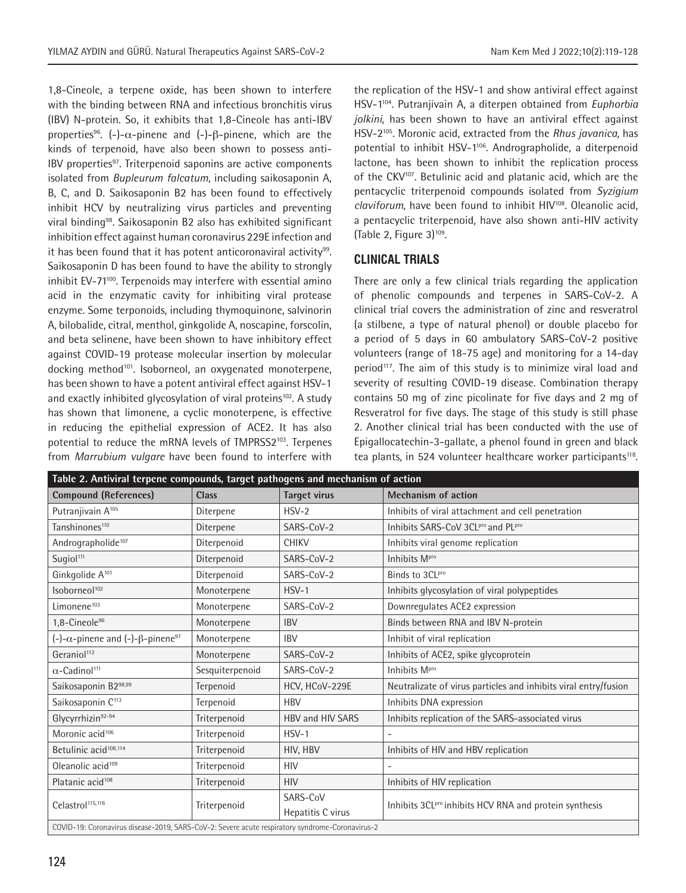1,8-Cineole, a terpene oxide, has been shown to interfere with the binding between RNA and infectious bronchitis virus (IBV) N-protein. So, it exhibits that 1,8-Cineole has anti-IBV properties<sup>96</sup>. (-)- $\alpha$ -pinene and (-)- $\beta$ -pinene, which are the kinds of terpenoid, have also been shown to possess anti-IBV properties<sup>97</sup>. Triterpenoid saponins are active components isolated from *Bupleurum falcatum*, including saikosaponin A, B, C, and D. Saikosaponin B2 has been found to effectively inhibit HCV by neutralizing virus particles and preventing viral binding<sup>98</sup>. Saikosaponin B2 also has exhibited significant inhibition effect against human coronavirus 229E infection and it has been found that it has potent anticoronaviral activity<sup>99</sup>. Saikosaponin D has been found to have the ability to strongly inhibit EV-71<sup>100</sup>. Terpenoids may interfere with essential amino acid in the enzymatic cavity for inhibiting viral protease enzyme. Some terponoids, including thymoquinone, salvinorin A, bilobalide, citral, menthol, ginkgolide A, noscapine, forscolin, and beta selinene, have been shown to have inhibitory effect against COVID-19 protease molecular insertion by molecular docking method<sup>101</sup>. Isoborneol, an oxygenated monoterpene, has been shown to have a potent antiviral effect against HSV-1 and exactly inhibited glycosylation of viral proteins<sup>102</sup>. A study has shown that limonene, a cyclic monoterpene, is effective in reducing the epithelial expression of ACE2. It has also potential to reduce the mRNA levels of TMPRSS2<sup>103</sup>. Terpenes from *Marrubium vulgare* have been found to interfere with

the replication of the HSV-1 and show antiviral effect against HSV-1104. Putranjivain A, a diterpen obtained from *Euphorbia jolkini*, has been shown to have an antiviral effect against HSV-2105. Moronic acid, extracted from the *Rhus javanica,* has potential to inhibit HSV-1106. Andrographolide, a diterpenoid lactone, has been shown to inhibit the replication process of the CKV<sup>107</sup>. Betulinic acid and platanic acid, which are the pentacyclic triterpenoid compounds isolated from *Syzigium claviforum*, have been found to inhibit HIV108. Oleanolic acid, a pentacyclic triterpenoid, have also shown anti-HIV activity (Table 2, Figure  $3)$ <sup>109</sup>.

## **CLINICAL TRIALS**

There are only a few clinical trials regarding the application of phenolic compounds and terpenes in SARS-CoV-2. A clinical trial covers the administration of zinc and resveratrol (a stilbene, a type of natural phenol) or double placebo for a period of 5 days in 60 ambulatory SARS-CoV-2 positive volunteers (range of 18-75 age) and monitoring for a 14-day period<sup>117</sup>. The aim of this study is to minimize viral load and severity of resulting COVID-19 disease. Combination therapy contains 50 mg of zinc picolinate for five days and 2 mg of Resveratrol for five days. The stage of this study is still phase 2. Another clinical trial has been conducted with the use of Epigallocatechin-3-gallate, a phenol found in green and black tea plants, in 524 volunteer healthcare worker participants<sup>118</sup>.

| Table 2. Antiviral terpene compounds, target pathogens and mechanism of action                  |                 |                     |                                                                    |  |
|-------------------------------------------------------------------------------------------------|-----------------|---------------------|--------------------------------------------------------------------|--|
| <b>Compound (References)</b>                                                                    | <b>Class</b>    | <b>Target virus</b> | <b>Mechanism of action</b>                                         |  |
| Putranjivain A <sup>105</sup>                                                                   | Diterpene       | $HSV-2$             | Inhibits of viral attachment and cell penetration                  |  |
| Tanshinones <sup>110</sup>                                                                      | Diterpene       | SARS-CoV-2          | Inhibits SARS-CoV 3CLPro and PLPro                                 |  |
| Andrographolide <sup>107</sup>                                                                  | Diterpenoid     | <b>CHIKV</b>        | Inhibits viral genome replication                                  |  |
| Sugiol <sup>111</sup>                                                                           | Diterpenoid     | SARS-CoV-2          | Inhibits Mpro                                                      |  |
| Ginkgolide A <sup>101</sup>                                                                     | Diterpenoid     | SARS-CoV-2          | Binds to 3CLpro                                                    |  |
| Isoborneol <sup>102</sup>                                                                       | Monoterpene     | $HSV-1$             | Inhibits glycosylation of viral polypeptides                       |  |
| Limonene <sup>103</sup>                                                                         | Monoterpene     | SARS-CoV-2          | Downregulates ACE2 expression                                      |  |
| 1.8-Cineole <sup>96</sup>                                                                       | Monoterpene     | <b>IBV</b>          | Binds between RNA and IBV N-protein                                |  |
| $(-)$ - $\alpha$ -pinene and $(-)$ - $\beta$ -pinene <sup>97</sup>                              | Monoterpene     | <b>IBV</b>          | Inhibit of viral replication                                       |  |
| Geraniol <sup>112</sup>                                                                         | Monoterpene     | SARS-CoV-2          | Inhibits of ACE2, spike glycoprotein                               |  |
| $\alpha$ -Cadinol <sup>111</sup>                                                                | Sesquiterpenoid | SARS-CoV-2          | Inhibits Mpro                                                      |  |
| Saikosaponin B298,99                                                                            | Terpenoid       | HCV, HCoV-229E      | Neutralizate of virus particles and inhibits viral entry/fusion    |  |
| Saikosaponin C <sup>113</sup>                                                                   | Terpenoid       | <b>HBV</b>          | Inhibits DNA expression                                            |  |
| Glycyrrhizin92-94                                                                               | Triterpenoid    | HBV and HIV SARS    | Inhibits replication of the SARS-associated virus                  |  |
| Moronic acid <sup>106</sup>                                                                     | Triterpenoid    | $HSV-1$             | $\overline{a}$                                                     |  |
| Betulinic acid <sup>108,114</sup>                                                               | Triterpenoid    | HIV, HBV            | Inhibits of HIV and HBV replication                                |  |
| Oleanolic acid <sup>109</sup>                                                                   | Triterpenoid    | <b>HIV</b>          |                                                                    |  |
| Platanic acid <sup>108</sup>                                                                    | Triterpenoid    | <b>HIV</b>          | Inhibits of HIV replication                                        |  |
| Celastrol <sup>115,116</sup>                                                                    |                 | SARS-CoV            |                                                                    |  |
|                                                                                                 | Triterpenoid    | Hepatitis C virus   | Inhibits 3CL <sup>pro</sup> inhibits HCV RNA and protein synthesis |  |
| COVID-19: Coronavirus disease-2019, SARS-CoV-2: Severe acute respiratory syndrome-Coronavirus-2 |                 |                     |                                                                    |  |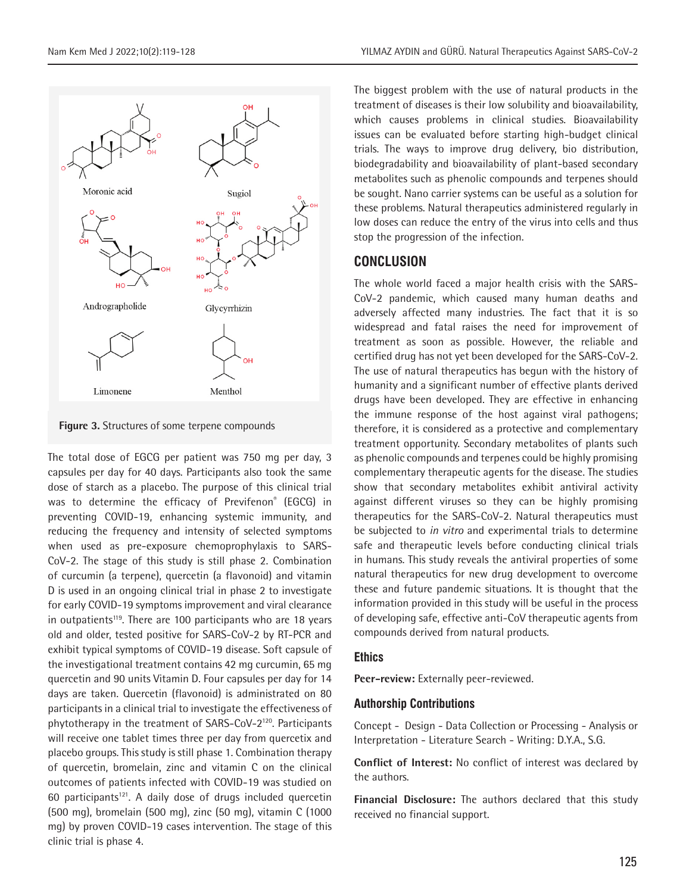



The total dose of EGCG per patient was 750 mg per day, 3 capsules per day for 40 days. Participants also took the same dose of starch as a placebo. The purpose of this clinical trial was to determine the efficacy of Previfenon® (EGCG) in preventing COVID-19, enhancing systemic immunity, and reducing the frequency and intensity of selected symptoms when used as pre-exposure chemoprophylaxis to SARS-CoV-2. The stage of this study is still phase 2. Combination of curcumin (a terpene), quercetin (a flavonoid) and vitamin D is used in an ongoing clinical trial in phase 2 to investigate for early COVID-19 symptoms improvement and viral clearance in outpatients<sup>119</sup>. There are 100 participants who are 18 years old and older, tested positive for SARS-CoV-2 by RT-PCR and exhibit typical symptoms of COVID-19 disease. Soft capsule of the investigational treatment contains 42 mg curcumin, 65 mg quercetin and 90 units Vitamin D. Four capsules per day for 14 days are taken. Quercetin (flavonoid) is administrated on 80 participants in a clinical trial to investigate the effectiveness of phytotherapy in the treatment of SARS-CoV-2120. Participants will receive one tablet times three per day from quercetix and placebo groups. This study is still phase 1. Combination therapy of quercetin, bromelain, zinc and vitamin C on the clinical outcomes of patients infected with COVID-19 was studied on 60 participants<sup>121</sup>. A daily dose of drugs included quercetin (500 mg), bromelain (500 mg), zinc (50 mg), vitamin C (1000 mg) by proven COVID-19 cases intervention. The stage of this clinic trial is phase 4.

The biggest problem with the use of natural products in the treatment of diseases is their low solubility and bioavailability, which causes problems in clinical studies. Bioavailability issues can be evaluated before starting high-budget clinical trials. The ways to improve drug delivery, bio distribution, biodegradability and bioavailability of plant-based secondary metabolites such as phenolic compounds and terpenes should be sought. Nano carrier systems can be useful as a solution for these problems. Natural therapeutics administered regularly in low doses can reduce the entry of the virus into cells and thus stop the progression of the infection.

# **CONCLUSION**

The whole world faced a major health crisis with the SARS-CoV-2 pandemic, which caused many human deaths and adversely affected many industries. The fact that it is so widespread and fatal raises the need for improvement of treatment as soon as possible. However, the reliable and certified drug has not yet been developed for the SARS-CoV-2. The use of natural therapeutics has begun with the history of humanity and a significant number of effective plants derived drugs have been developed. They are effective in enhancing the immune response of the host against viral pathogens; therefore, it is considered as a protective and complementary treatment opportunity. Secondary metabolites of plants such as phenolic compounds and terpenes could be highly promising complementary therapeutic agents for the disease. The studies show that secondary metabolites exhibit antiviral activity against different viruses so they can be highly promising therapeutics for the SARS-CoV-2. Natural therapeutics must be subjected to *in vitro* and experimental trials to determine safe and therapeutic levels before conducting clinical trials in humans. This study reveals the antiviral properties of some natural therapeutics for new drug development to overcome these and future pandemic situations. It is thought that the information provided in this study will be useful in the process of developing safe, effective anti-CoV therapeutic agents from compounds derived from natural products.

#### **Ethics**

**Peer-review:** Externally peer-reviewed.

#### **Authorship Contributions**

Concept - Design - Data Collection or Processing - Analysis or Interpretation - Literature Search - Writing: D.Y.A., S.G.

**Conflict of Interest:** No conflict of interest was declared by the authors.

**Financial Disclosure:** The authors declared that this study received no financial support.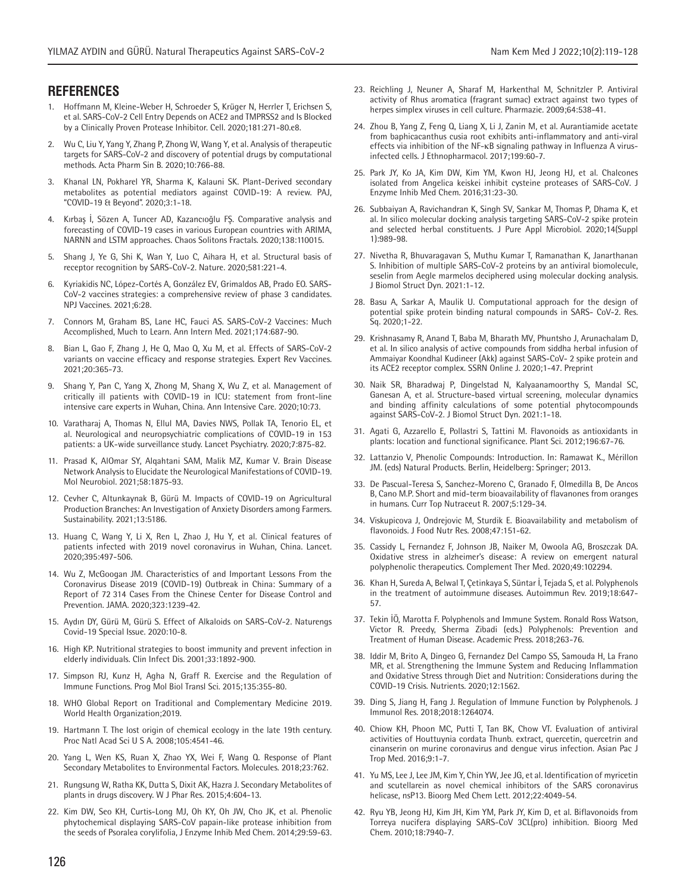#### **REFERENCES**

- 1. Hoffmann M, Kleine-Weber H, Schroeder S, Krüger N, Herrler T, Erichsen S, et al. SARS-CoV-2 Cell Entry Depends on ACE2 and TMPRSS2 and Is Blocked by a Clinically Proven Protease Inhibitor. Cell. 2020;181:271-80.e8.
- 2. Wu C, Liu Y, Yang Y, Zhang P, Zhong W, Wang Y, et al. Analysis of therapeutic targets for SARS-CoV-2 and discovery of potential drugs by computational methods. Acta Pharm Sin B. 2020;10:766-88.
- 3. Khanal LN, Pokharel YR, Sharma K, Kalauni SK. Plant-Derived secondary metabolites as potential mediators against COVID-19: A review. PAJ, "COVID-19 & Beyond". 2020;3:1-18.
- 4. Kırbaş İ, Sözen A, Tuncer AD, Kazancıoğlu FŞ. Comparative analysis and forecasting of COVID-19 cases in various European countries with ARIMA, NARNN and LSTM approaches. Chaos Solitons Fractals. 2020;138:110015.
- 5. Shang J, Ye G, Shi K, Wan Y, Luo C, Aihara H, et al. Structural basis of receptor recognition by SARS-CoV-2. Nature. 2020;581:221-4.
- 6. Kyriakidis NC, López-Cortés A, González EV, Grimaldos AB, Prado EO. SARS-CoV-2 vaccines strategies: a comprehensive review of phase 3 candidates. NPJ Vaccines. 2021;6:28.
- 7. Connors M, Graham BS, Lane HC, Fauci AS. SARS-CoV-2 Vaccines: Much Accomplished, Much to Learn. Ann Intern Med. 2021;174:687-90.
- 8. Bian L, Gao F, Zhang J, He Q, Mao Q, Xu M, et al. Effects of SARS-CoV-2 variants on vaccine efficacy and response strategies. Expert Rev Vaccines. 2021;20:365-73.
- 9. Shang Y, Pan C, Yang X, Zhong M, Shang X, Wu Z, et al. Management of critically ill patients with COVID-19 in ICU: statement from front-line intensive care experts in Wuhan, China. Ann Intensive Care. 2020;10:73.
- 10. Varatharaj A, Thomas N, Ellul MA, Davies NWS, Pollak TA, Tenorio EL, et al. Neurological and neuropsychiatric complications of COVID-19 in 153 patients: a UK-wide surveillance study. Lancet Psychiatry. 2020;7:875-82.
- 11. Prasad K, AlOmar SY, Alqahtani SAM, Malik MZ, Kumar V. Brain Disease Network Analysis to Elucidate the Neurological Manifestations of COVID-19. Mol Neurobiol. 2021;58:1875-93.
- 12. Cevher C, Altunkaynak B, Gürü M. Impacts of COVID-19 on Agricultural Production Branches: An Investigation of Anxiety Disorders among Farmers. Sustainability. 2021;13:5186.
- 13. Huang C, Wang Y, Li X, Ren L, Zhao J, Hu Y, et al. Clinical features of patients infected with 2019 novel coronavirus in Wuhan, China. Lancet. 2020;395:497-506.
- 14. Wu Z, McGoogan JM. Characteristics of and Important Lessons From the Coronavirus Disease 2019 (COVID-19) Outbreak in China: Summary of a Report of 72 314 Cases From the Chinese Center for Disease Control and Prevention. JAMA. 2020;323:1239-42.
- 15. Aydın DY, Gürü M, Gürü S. Effect of Alkaloids on SARS-CoV-2. Naturengs Covid-19 Special Issue. 2020:10-8.
- 16. High KP. Nutritional strategies to boost immunity and prevent infection in elderly individuals. Clin Infect Dis. 2001;33:1892-900.
- 17. Simpson RJ, Kunz H, Agha N, Graff R. Exercise and the Regulation of Immune Functions. Prog Mol Biol Transl Sci. 2015;135:355-80.
- 18. WHO Global Report on Traditional and Complementary Medicine 2019. World Health Organization;2019.
- 19. Hartmann T. The lost origin of chemical ecology in the late 19th century. Proc Natl Acad Sci U S A. 2008;105:4541-46.
- 20. Yang L, Wen KS, Ruan X, Zhao YX, Wei F, Wang Q. Response of Plant Secondary Metabolites to Environmental Factors. Molecules. 2018;23:762.
- 21. Rungsung W, Ratha KK, Dutta S, Dixit AK, Hazra J. Secondary Metabolites of plants in drugs discovery. W J Phar Res. 2015;4:604-13.
- 22. Kim DW, Seo KH, Curtis-Long MJ, Oh KY, Oh JW, Cho JK, et al. Phenolic phytochemical displaying SARS-CoV papain-like protease inhibition from the seeds of Psoralea corylifolia, J Enzyme Inhib Med Chem. 2014;29:59-63.
- 23. Reichling J, Neuner A, Sharaf M, Harkenthal M, Schnitzler P. Antiviral activity of Rhus aromatica (fragrant sumac) extract against two types of herpes simplex viruses in cell culture. Pharmazie. 2009;64:538-41.
- 24. Zhou B, Yang Z, Feng Q, Liang X, Li J, Zanin M, et al. Aurantiamide acetate from baphicacanthus cusia root exhibits anti-inflammatory and anti-viral effects via inhibition of the NF-κB signaling pathway in Influenza A virusinfected cells. J Ethnopharmacol. 2017;199:60-7.
- 25. Park JY, Ko JA, Kim DW, Kim YM, Kwon HJ, Jeong HJ, et al. Chalcones isolated from Angelica keiskei inhibit cysteine proteases of SARS-CoV. J Enzyme Inhib Med Chem. 2016;31:23-30.
- 26. Subbaiyan A, Ravichandran K, Singh SV, Sankar M, Thomas P, Dhama K, et al. In silico molecular docking analysis targeting SARS-CoV-2 spike protein and selected herbal constituents. J Pure Appl Microbiol. 2020;14(Suppl 1):989-98.
- 27. Nivetha R, Bhuvaragavan S, Muthu Kumar T, Ramanathan K, Janarthanan S. Inhibition of multiple SARS-CoV-2 proteins by an antiviral biomolecule, seselin from Aegle marmelos deciphered using molecular docking analysis. J Biomol Struct Dyn. 2021:1-12.
- 28. Basu A, Sarkar A, Maulik U. Computational approach for the design of potential spike protein binding natural compounds in SARS- CoV-2. Res. Sq. 2020;1-22.
- 29. Krishnasamy R, Anand T, Baba M, Bharath MV, Phuntsho J, Arunachalam D, et al. In silico analysis of active compounds from siddha herbal infusion of Ammaiyar Koondhal Kudineer (Akk) against SARS-CoV- 2 spike protein and its ACE2 receptor complex. SSRN Online J. 2020;1-47. Preprint
- 30. Naik SR, Bharadwaj P, Dingelstad N, Kalyaanamoorthy S, Mandal SC, Ganesan A, et al. Structure-based virtual screening, molecular dynamics and binding affinity calculations of some potential phytocompounds against SARS-CoV-2. J Biomol Struct Dyn. 2021:1-18.
- 31. Agati G, Azzarello E, Pollastri S, Tattini M. Flavonoids as antioxidants in plants: location and functional significance. Plant Sci. 2012;196:67-76.
- 32. Lattanzio V, Phenolic Compounds: Introduction. In: Ramawat K., Mérillon JM. (eds) Natural Products. Berlin, Heidelberg: Springer; 2013.
- 33. De Pascual-Teresa S, Sanchez-Moreno C, Granado F, Olmedilla B, De Ancos B, Cano M.P. Short and mid-term bioavailability of flavanones from oranges in humans. Curr Top Nutraceut R. 2007;5:129-34.
- 34. Viskupicova J, Ondrejovic M, Sturdik E. Bioavailability and metabolism of flavonoids. J Food Nutr Res. 2008;47:151-62.
- 35. Cassidy L, Fernandez F, Johnson JB, Naiker M, Owoola AG, Broszczak DA. Oxidative stress in alzheimer's disease: A review on emergent natural polyphenolic therapeutics. Complement Ther Med. 2020;49:102294.
- 36. Khan H, Sureda A, Belwal T, Çetinkaya S, Süntar İ, Tejada S, et al. Polyphenols in the treatment of autoimmune diseases. Autoimmun Rev. 2019;18:647- 57.
- 37. Tekin İÖ, Marotta F. Polyphenols and Immune System. Ronald Ross Watson, Victor R. Preedy, Sherma Zibadi (eds.) Polyphenols: Prevention and Treatment of Human Disease. Academic Press. 2018;263-76.
- 38. Iddir M, Brito A, Dingeo G, Fernandez Del Campo SS, Samouda H, La Frano MR, et al. Strengthening the Immune System and Reducing Inflammation and Oxidative Stress through Diet and Nutrition: Considerations during the COVID-19 Crisis. Nutrients. 2020;12:1562.
- 39. Ding S, Jiang H, Fang J. Regulation of Immune Function by Polyphenols. J Immunol Res. 2018;2018:1264074.
- 40. Chiow KH, Phoon MC, Putti T, Tan BK, Chow VT. Evaluation of antiviral activities of Houttuynia cordata Thunb. extract, quercetin, quercetrin and cinanserin on murine coronavirus and dengue virus infection. Asian Pac J Trop Med. 2016;9:1-7.
- 41. Yu MS, Lee J, Lee JM, Kim Y, Chin YW, Jee JG, et al. Identification of myricetin and scutellarein as novel chemical inhibitors of the SARS coronavirus helicase, nsP13. Bioorg Med Chem Lett. 2012;22:4049-54.
- 42. Ryu YB, Jeong HJ, Kim JH, Kim YM, Park JY, Kim D, et al. Biflavonoids from Torreya nucifera displaying SARS-CoV 3CL(pro) inhibition. Bioorg Med Chem. 2010;18:7940-7.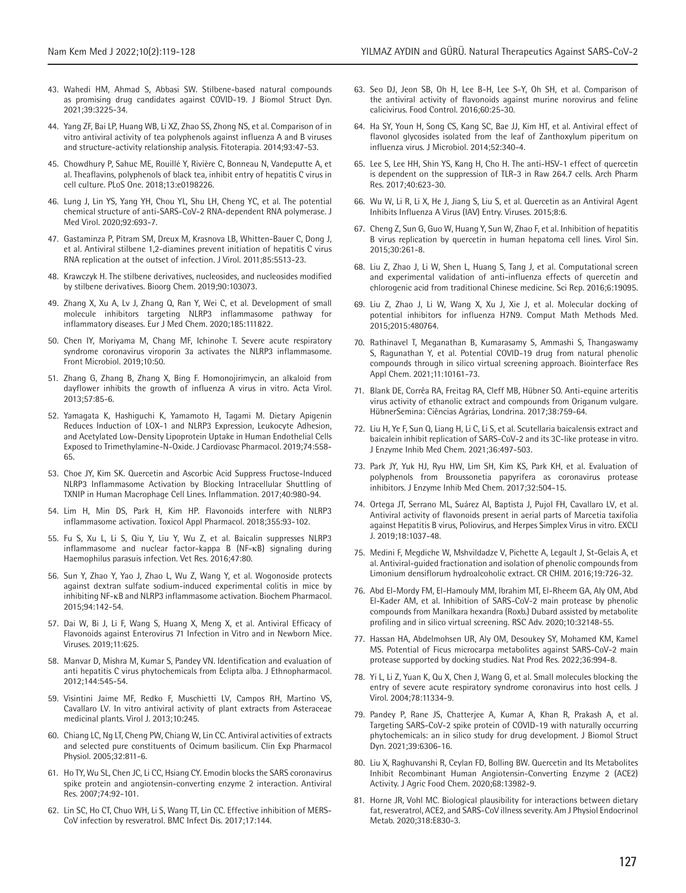- 43. Wahedi HM, Ahmad S, Abbasi SW. Stilbene-based natural compounds as promising drug candidates against COVID-19. J Biomol Struct Dyn. 2021;39:3225-34.
- 44. Yang ZF, Bai LP, Huang WB, Li XZ, Zhao SS, Zhong NS, et al. Comparison of in vitro antiviral activity of tea polyphenols against influenza A and B viruses and structure-activity relationship analysis. Fitoterapia. 2014;93:47-53.
- 45. Chowdhury P, Sahuc ME, Rouillé Y, Rivière C, Bonneau N, Vandeputte A, et al. Theaflavins, polyphenols of black tea, inhibit entry of hepatitis C virus in cell culture. PLoS One. 2018;13:e0198226.
- 46. Lung J, Lin YS, Yang YH, Chou YL, Shu LH, Cheng YC, et al. The potential chemical structure of anti-SARS-CoV-2 RNA-dependent RNA polymerase. J Med Virol. 2020;92:693-7.
- 47. Gastaminza P, Pitram SM, Dreux M, Krasnova LB, Whitten-Bauer C, Dong J, et al. Antiviral stilbene 1,2-diamines prevent initiation of hepatitis C virus RNA replication at the outset of infection. J Virol. 2011;85:5513-23.
- 48. Krawczyk H. The stilbene derivatives, nucleosides, and nucleosides modified by stilbene derivatives. Bioorg Chem. 2019;90:103073.
- 49. Zhang X, Xu A, Lv J, Zhang Q, Ran Y, Wei C, et al. Development of small molecule inhibitors targeting NLRP3 inflammasome pathway for inflammatory diseases. Eur J Med Chem. 2020;185:111822.
- 50. Chen IY, Moriyama M, Chang MF, Ichinohe T. Severe acute respiratory syndrome coronavirus viroporin 3a activates the NLRP3 inflammasome. Front Microbiol. 2019;10:50.
- 51. Zhang G, Zhang B, Zhang X, Bing F. Homonojirimycin, an alkaloid from dayflower inhibits the growth of influenza A virus in vitro. Acta Virol. 2013;57:85-6.
- 52. Yamagata K, Hashiguchi K, Yamamoto H, Tagami M. Dietary Apigenin Reduces Induction of LOX-1 and NLRP3 Expression, Leukocyte Adhesion, and Acetylated Low-Density Lipoprotein Uptake in Human Endothelial Cells Exposed to Trimethylamine-N-Oxide. J Cardiovasc Pharmacol. 2019;74:558- 65.
- 53. Choe JY, Kim SK. Quercetin and Ascorbic Acid Suppress Fructose-Induced NLRP3 Inflammasome Activation by Blocking Intracellular Shuttling of TXNIP in Human Macrophage Cell Lines. Inflammation. 2017;40:980-94.
- 54. Lim H, Min DS, Park H, Kim HP. Flavonoids interfere with NLRP3 inflammasome activation. Toxicol Appl Pharmacol. 2018;355:93-102.
- 55. Fu S, Xu L, Li S, Qiu Y, Liu Y, Wu Z, et al. Baicalin suppresses NLRP3 inflammasome and nuclear factor-kappa B (NF-κB) signaling during Haemophilus parasuis infection. Vet Res. 2016;47:80.
- 56. Sun Y, Zhao Y, Yao J, Zhao L, Wu Z, Wang Y, et al. Wogonoside protects against dextran sulfate sodium-induced experimental colitis in mice by inhibiting NF-κB and NLRP3 inflammasome activation. Biochem Pharmacol. 2015;94:142-54.
- 57. Dai W, Bi J, Li F, Wang S, Huang X, Meng X, et al. Antiviral Efficacy of Flavonoids against Enterovirus 71 Infection in Vitro and in Newborn Mice. Viruses. 2019;11:625.
- 58. Manvar D, Mishra M, Kumar S, Pandey VN. Identification and evaluation of anti hepatitis C virus phytochemicals from Eclipta alba. J Ethnopharmacol. 2012;144:545-54.
- 59. Visintini Jaime MF, Redko F, Muschietti LV, Campos RH, Martino VS, Cavallaro LV. In vitro antiviral activity of plant extracts from Asteraceae medicinal plants. Virol J. 2013;10:245.
- 60. Chiang LC, Ng LT, Cheng PW, Chiang W, Lin CC. Antiviral activities of extracts and selected pure constituents of Ocimum basilicum. Clin Exp Pharmacol Physiol. 2005;32:811-6.
- 61. Ho TY, Wu SL, Chen JC, Li CC, Hsiang CY. Emodin blocks the SARS coronavirus spike protein and angiotensin-converting enzyme 2 interaction. Antiviral Res. 2007;74:92-101.
- 62. Lin SC, Ho CT, Chuo WH, Li S, Wang TT, Lin CC. Effective inhibition of MERS-CoV infection by resveratrol. BMC Infect Dis. 2017;17:144.
- 63. Seo DJ, Jeon SB, Oh H, Lee B-H, Lee S-Y, Oh SH, et al. Comparison of the antiviral activity of flavonoids against murine norovirus and feline calicivirus. Food Control. 2016;60:25-30.
- 64. Ha SY, Youn H, Song CS, Kang SC, Bae JJ, Kim HT, et al. Antiviral effect of flavonol glycosides isolated from the leaf of Zanthoxylum piperitum on influenza virus. J Microbiol. 2014;52:340-4.
- 65. Lee S, Lee HH, Shin YS, Kang H, Cho H. The anti-HSV-1 effect of quercetin is dependent on the suppression of TLR-3 in Raw 264.7 cells. Arch Pharm Res. 2017;40:623-30.
- 66. Wu W, Li R, Li X, He J, Jiang S, Liu S, et al. Quercetin as an Antiviral Agent Inhibits Influenza A Virus (IAV) Entry. Viruses. 2015;8:6.
- 67. Cheng Z, Sun G, Guo W, Huang Y, Sun W, Zhao F, et al. Inhibition of hepatitis B virus replication by quercetin in human hepatoma cell lines. Virol Sin. 2015;30:261-8.
- 68. Liu Z, Zhao J, Li W, Shen L, Huang S, Tang J, et al. Computational screen and experimental validation of anti-influenza effects of quercetin and chlorogenic acid from traditional Chinese medicine. Sci Rep. 2016;6:19095.
- 69. Liu Z, Zhao J, Li W, Wang X, Xu J, Xie J, et al. Molecular docking of potential inhibitors for influenza H7N9. Comput Math Methods Med. 2015;2015:480764.
- 70. Rathinavel T, Meganathan B, Kumarasamy S, Ammashi S, Thangaswamy S, Ragunathan Y, et al. Potential COVID-19 drug from natural phenolic compounds through in silico virtual screening approach. Biointerface Res Appl Chem. 2021;11:10161-73.
- 71. Blank DE, Corrêa RA, Freitag RA, Cleff MB, Hübner SO. Anti-equine arteritis virus activity of ethanolic extract and compounds from Origanum vulgare. HübnerSemina: Ciências Agrárias, Londrina. 2017;38:759-64.
- 72. Liu H, Ye F, Sun Q, Liang H, Li C, Li S, et al. Scutellaria baicalensis extract and baicalein inhibit replication of SARS-CoV-2 and its 3C-like protease in vitro. J Enzyme Inhib Med Chem. 2021;36:497-503.
- 73. Park JY, Yuk HJ, Ryu HW, Lim SH, Kim KS, Park KH, et al. Evaluation of polyphenols from Broussonetia papyrifera as coronavirus protease inhibitors. J Enzyme Inhib Med Chem. 2017;32:504-15.
- 74. Ortega JT, Serrano ML, Suárez AI, Baptista J, Pujol FH, Cavallaro LV, et al. Antiviral activity of flavonoids present in aerial parts of Marcetia taxifolia against Hepatitis B virus, Poliovirus, and Herpes Simplex Virus in vitro. EXCLI J. 2019;18:1037-48.
- 75. Medini F, Megdiche W, Mshvildadze V, Pichette A, Legault J, St-Gelais A, et al. Antiviral-guided fractionation and isolation of phenolic compounds from Limonium densiflorum hydroalcoholic extract. CR CHIM. 2016;19:726-32.
- 76. Abd El-Mordy FM, El-Hamouly MM, Ibrahim MT, El-Rheem GA, Aly OM, Abd El-Kader AM, et al. Inhibition of SARS-CoV-2 main protease by phenolic compounds from Manilkara hexandra (Roxb.) Dubard assisted by metabolite profiling and in silico virtual screening. RSC Adv. 2020;10:32148-55.
- 77. Hassan HA, Abdelmohsen UR, Aly OM, Desoukey SY, Mohamed KM, Kamel MS. Potential of Ficus microcarpa metabolites against SARS-CoV-2 main protease supported by docking studies. Nat Prod Res. 2022;36:994-8.
- 78. Yi L, Li Z, Yuan K, Qu X, Chen J, Wang G, et al. Small molecules blocking the entry of severe acute respiratory syndrome coronavirus into host cells. J Virol. 2004;78:11334-9.
- 79. Pandey P, Rane JS, Chatterjee A, Kumar A, Khan R, Prakash A, et al. Targeting SARS-CoV-2 spike protein of COVID-19 with naturally occurring phytochemicals: an in silico study for drug development. J Biomol Struct Dyn. 2021;39:6306-16.
- 80. Liu X, Raghuvanshi R, Ceylan FD, Bolling BW. Quercetin and Its Metabolites Inhibit Recombinant Human Angiotensin-Converting Enzyme 2 (ACE2) Activity. J Agric Food Chem. 2020;68:13982-9.
- 81. Horne JR, Vohl MC. Biological plausibility for interactions between dietary fat, resveratrol, ACE2, and SARS-CoV illness severity. Am J Physiol Endocrinol Metab. 2020;318:E830-3.